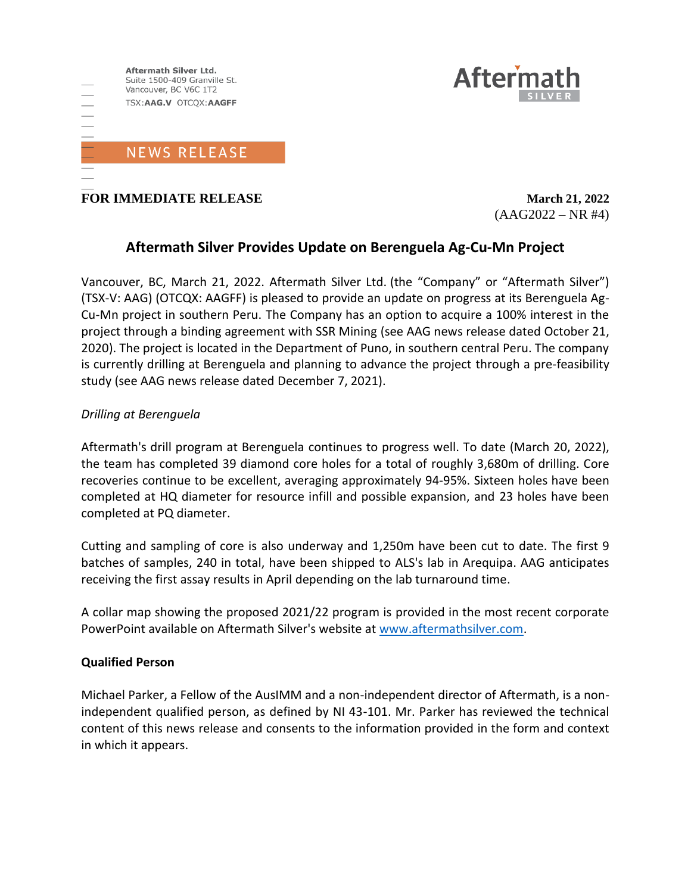



**FOR IMMEDIATE RELEASE** *March 21, 2022* 

 $(AAG2022 - NR #4)$ 

# **Aftermath Silver Provides Update on Berenguela Ag-Cu-Mn Project**

Vancouver, BC, March 21, 2022. Aftermath Silver Ltd. (the "Company" or "Aftermath Silver") (TSX-V: AAG) (OTCQX: AAGFF) is pleased to provide an update on progress at its Berenguela Ag-Cu-Mn project in southern Peru. The Company has an option to acquire a 100% interest in the project through a binding agreement with SSR Mining (see AAG news release dated October 21, 2020). The project is located in the Department of Puno, in southern central Peru. The company is currently drilling at Berenguela and planning to advance the project through a pre-feasibility study (see AAG news release dated December 7, 2021).

## *Drilling at Berenguela*

Aftermath's drill program at Berenguela continues to progress well. To date (March 20, 2022), the team has completed 39 diamond core holes for a total of roughly 3,680m of drilling. Core recoveries continue to be excellent, averaging approximately 94-95%. Sixteen holes have been completed at HQ diameter for resource infill and possible expansion, and 23 holes have been completed at PQ diameter.

Cutting and sampling of core is also underway and 1,250m have been cut to date. The first 9 batches of samples, 240 in total, have been shipped to ALS's lab in Arequipa. AAG anticipates receiving the first assay results in April depending on the lab turnaround time.

A collar map showing the proposed 2021/22 program is provided in the most recent corporate PowerPoint available on Aftermath Silver's website at [www.aftermathsilver.com.](http://www.aftermathsilver.com/)

### **Qualified Person**

Michael Parker, a Fellow of the AusIMM and a non-independent director of Aftermath, is a nonindependent qualified person, as defined by NI 43-101. Mr. Parker has reviewed the technical content of this news release and consents to the information provided in the form and context in which it appears.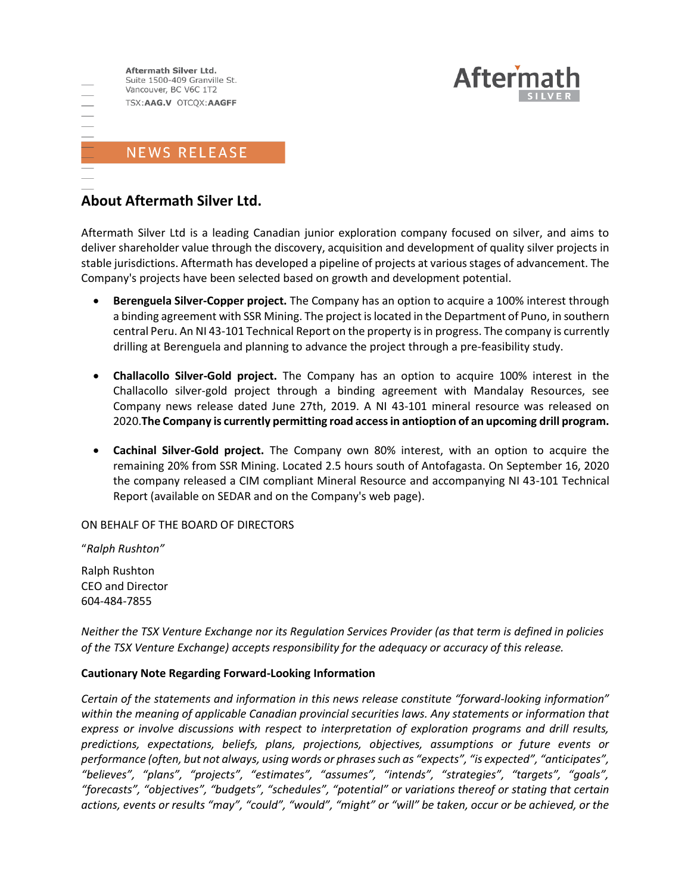



Aftermath Silver Ltd is a leading Canadian junior exploration company focused on silver, and aims to deliver shareholder value through the discovery, acquisition and development of quality silver projects in stable jurisdictions. Aftermath has developed a pipeline of projects at various stages of advancement. The Company's projects have been selected based on growth and development potential.

**Aftern** 

- **Berenguela Silver-Copper project.** The Company has an option to acquire a 100% interest through a binding agreement with SSR Mining. The project is located in the Department of Puno, in southern central Peru. An NI 43-101 Technical Report on the property is in progress. The company is currently drilling at Berenguela and planning to advance the project through a pre-feasibility study.
- **Challacollo Silver-Gold project.** The Company has an option to acquire 100% interest in the Challacollo silver-gold project through a binding agreement with Mandalay Resources, see Company news release dated June 27th, 2019. A NI 43-101 mineral resource was released on 2020.**The Company is currently permitting road access in antioption of an upcoming drill program.**
- **Cachinal Silver-Gold project.** The Company own 80% interest, with an option to acquire the remaining 20% from SSR Mining. Located 2.5 hours south of Antofagasta. On September 16, 2020 the company released a CIM compliant Mineral Resource and accompanying NI 43-101 Technical Report (available on SEDAR and on the Company's web page).

ON BEHALF OF THE BOARD OF DIRECTORS

"*Ralph Rushton"* Ralph Rushton CEO and Director

604-484-7855

*Neither the TSX Venture Exchange nor its Regulation Services Provider (as that term is defined in policies of the TSX Venture Exchange) accepts responsibility for the adequacy or accuracy of this release.*

### **Cautionary Note Regarding Forward-Looking Information**

*Certain of the statements and information in this news release constitute "forward-looking information" within the meaning of applicable Canadian provincial securities laws. Any statements or information that express or involve discussions with respect to interpretation of exploration programs and drill results, predictions, expectations, beliefs, plans, projections, objectives, assumptions or future events or performance (often, but not always, using words or phrases such as "expects", "is expected", "anticipates", "believes", "plans", "projects", "estimates", "assumes", "intends", "strategies", "targets", "goals", "forecasts", "objectives", "budgets", "schedules", "potential" or variations thereof or stating that certain actions, events or results "may", "could", "would", "might" or "will" be taken, occur or be achieved, or the*